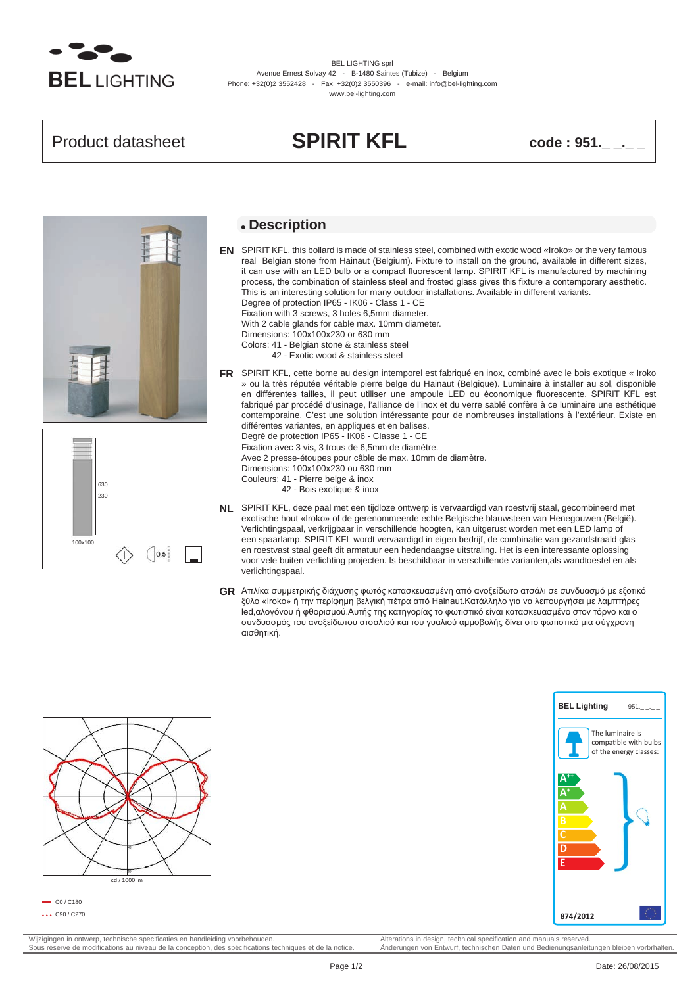

BEL LIGHTING sprl Avenue Ernest Solvay 42 - B-1480 Saintes (Tubize) - Belgium Phone: +32(0)2 3552428 - Fax: +32(0)2 3550396 - e-mail: info@bel-lighting.com www.bel-lighting.com

## Product datasheet **SPIRIT KFL** code : 951.





### **Description**

SPIRIT KFL, this bollard is made of stainless steel, combined with exotic wood «Iroko» or the very famous **EN** real Belgian stone from Hainaut (Belgium). Fixture to install on the ground, available in different sizes, it can use with an LED bulb or a compact fluorescent lamp. SPIRIT KFL is manufactured by machining process, the combination of stainless steel and frosted glass gives this fixture a contemporary aesthetic. This is an interesting solution for many outdoor installations. Available in different variants. Degree of protection IP65 - IK06 - Class 1 - CE Fixation with 3 screws, 3 holes 6,5mm diameter. With 2 cable glands for cable max. 10mm diameter.

Dimensions: 100x100x230 or 630 mm

- Colors: 41 Belgian stone & stainless steel
	- 42 Exotic wood & stainless steel
- SPIRIT KFL, cette borne au design intemporel est fabriqué en inox, combiné avec le bois exotique « Iroko **FR** » ou la très réputée véritable pierre belge du Hainaut (Belgique). Luminaire à installer au sol, disponible en différentes tailles, il peut utiliser une ampoule LED ou économique fluorescente. SPIRIT KFL est fabriqué par procédé d'usinage, l'alliance de l'inox et du verre sablé confère à ce luminaire une esthétique contemporaine. C'est une solution intéressante pour de nombreuses installations à l'extérieur. Existe en différentes variantes, en appliques et en balises.

Degré de protection IP65 - IK06 - Classe 1 - CE Fixation avec 3 vis, 3 trous de 6,5mm de diamètre.

Avec 2 presse-étoupes pour câble de max. 10mm de diamètre.

Dimensions: 100x100x230 ou 630 mm

- Couleurs: 41 Pierre belge & inox
	- 42 Bois exotique & inox
		-
- SPIRIT KFL, deze paal met een tijdloze ontwerp is vervaardigd van roestvrij staal, gecombineerd met **NL** exotische hout «Iroko» of de gerenommeerde echte Belgische blauwsteen van Henegouwen (België). Verlichtingspaal, verkrijgbaar in verschillende hoogten, kan uitgerust worden met een LED lamp of een spaarlamp. SPIRIT KFL wordt vervaardigd in eigen bedrijf, de combinatie van gezandstraald glas en roestvast staal geeft dit armatuur een hedendaagse uitstraling. Het is een interessante oplossing voor vele buiten verlichting projecten. Is beschikbaar in verschillende varianten,als wandtoestel en als verlichtingspaal.
- Απλίκα συμμετρικής διάχυσης φωτός κατασκευασμένη από ανοξείδωτο ατσάλι σε συνδυασμό με εξοτικό **GR** ξύλο «Iroko» ή την περίφημη βελγική πέτρα από Hainaut.Κατάλληλο για να λειτουργήσει με λαμπτήρες led,αλογόνου ή φθορισμού.Αυτής της κατηγορίας το φωτιστικό είναι κατασκευασμένο στον τόρνο και ο συνδυασμός του ανοξείδωτου ατσαλιού και του γυαλιού αμμοβολής δίνει στο φωτιστικό μια σύγχρονη αισθητική.





 $=$  C<sub>0</sub> / C<sub>180</sub>  $\cdots$  C90 / C270

Wijzigingen in ontwerp, technische specificaties en handleiding voorbehouden.<br>
Sous réserve de modifications au niveau de la conception, des spécifications techniques et de la notice. Anderungen von Entwurf, technischen Da Sous réserve de modifications au niveau de la conception, des spécifications techniques et de la notice.